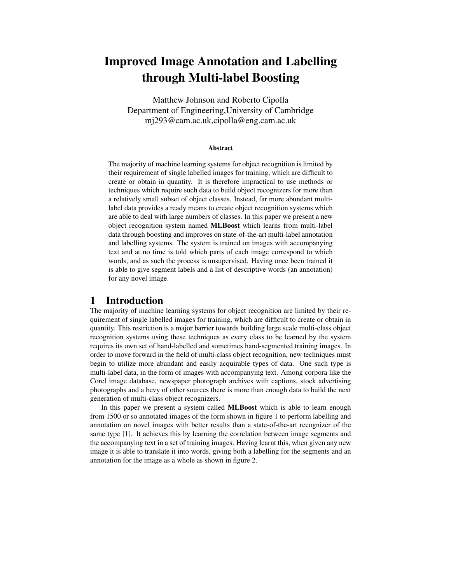# Improved Image Annotation and Labelling through Multi-label Boosting

Matthew Johnson and Roberto Cipolla Department of Engineering,University of Cambridge mj293@cam.ac.uk,cipolla@eng.cam.ac.uk

#### Abstract

The majority of machine learning systems for object recognition is limited by their requirement of single labelled images for training, which are difficult to create or obtain in quantity. It is therefore impractical to use methods or techniques which require such data to build object recognizers for more than a relatively small subset of object classes. Instead, far more abundant multilabel data provides a ready means to create object recognition systems which are able to deal with large numbers of classes. In this paper we present a new object recognition system named MLBoost which learns from multi-label data through boosting and improves on state-of-the-art multi-label annotation and labelling systems. The system is trained on images with accompanying text and at no time is told which parts of each image correspond to which words, and as such the process is unsupervised. Having once been trained it is able to give segment labels and a list of descriptive words (an annotation) for any novel image.

## 1 Introduction

The majority of machine learning systems for object recognition are limited by their requirement of single labelled images for training, which are difficult to create or obtain in quantity. This restriction is a major barrier towards building large scale multi-class object recognition systems using these techniques as every class to be learned by the system requires its own set of hand-labelled and sometimes hand-segmented training images. In order to move forward in the field of multi-class object recognition, new techniques must begin to utilize more abundant and easily acquirable types of data. One such type is multi-label data, in the form of images with accompanying text. Among corpora like the Corel image database, newspaper photograph archives with captions, stock advertising photographs and a bevy of other sources there is more than enough data to build the next generation of multi-class object recognizers.

In this paper we present a system called MLBoost which is able to learn enough from 1500 or so annotated images of the form shown in figure 1 to perform labelling and annotation on novel images with better results than a state-of-the-art recognizer of the same type [1]. It achieves this by learning the correlation between image segments and the accompanying text in a set of training images. Having learnt this, when given any new image it is able to translate it into words, giving both a labelling for the segments and an annotation for the image as a whole as shown in figure 2.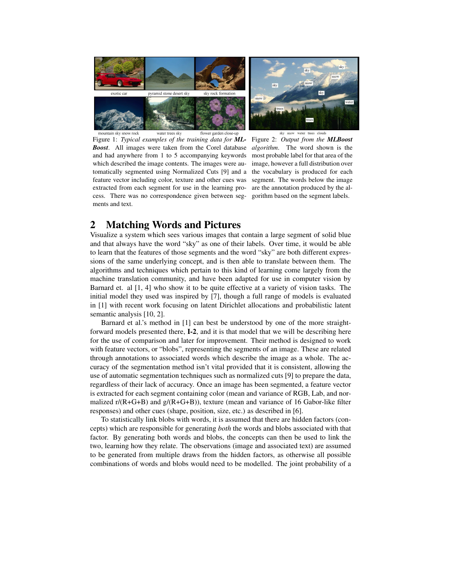

Figure 1: *Typical examples of the training data for ML-Boost*. All images were taken from the Corel database and had anywhere from 1 to 5 accompanying keywords which described the image contents. The images were automatically segmented using Normalized Cuts [9] and a the vocabulary is produced for each feature vector including color, texture and other cues was segment. The words below the image extracted from each segment for use in the learning pro-are the annotation produced by the alcess. There was no correspondence given between seg-gorithm based on the segment labels. ments and text.

Figure 2: *Output from the MLBoost algorithm*. The word shown is the most probable label for that area of the image, however a full distribution over

# 2 Matching Words and Pictures

Visualize a system which sees various images that contain a large segment of solid blue and that always have the word "sky" as one of their labels. Over time, it would be able to learn that the features of those segments and the word "sky" are both different expressions of the same underlying concept, and is then able to translate between them. The algorithms and techniques which pertain to this kind of learning come largely from the machine translation community, and have been adapted for use in computer vision by Barnard et. al [1, 4] who show it to be quite effective at a variety of vision tasks. The initial model they used was inspired by [7], though a full range of models is evaluated in [1] with recent work focusing on latent Dirichlet allocations and probabilistic latent semantic analysis [10, 2].

Barnard et al.'s method in [1] can best be understood by one of the more straightforward models presented there, I-2, and it is that model that we will be describing here for the use of comparison and later for improvement. Their method is designed to work with feature vectors, or "blobs", representing the segments of an image. These are related through annotations to associated words which describe the image as a whole. The accuracy of the segmentation method isn't vital provided that it is consistent, allowing the use of automatic segmentation techniques such as normalized cuts [9] to prepare the data, regardless of their lack of accuracy. Once an image has been segmented, a feature vector is extracted for each segment containing color (mean and variance of RGB, Lab, and normalized  $r/(R+G+B)$  and  $g/(R+G+B)$ ), texture (mean and variance of 16 Gabor-like filter responses) and other cues (shape, position, size, etc.) as described in [6].

To statistically link blobs with words, it is assumed that there are hidden factors (concepts) which are responsible for generating *both* the words and blobs associated with that factor. By generating both words and blobs, the concepts can then be used to link the two, learning how they relate. The observations (image and associated text) are assumed to be generated from multiple draws from the hidden factors, as otherwise all possible combinations of words and blobs would need to be modelled. The joint probability of a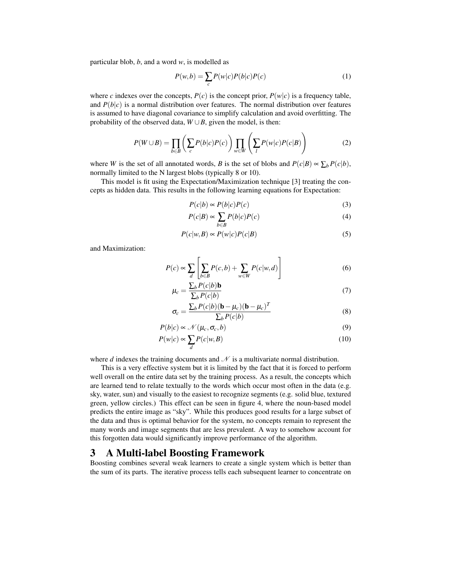particular blob, *b*, and a word *w*, is modelled as

$$
P(w,b) = \sum_{c} P(w|c)P(b|c)P(c)
$$
\n(1)

where *c* indexes over the concepts,  $P(c)$  is the concept prior,  $P(w|c)$  is a frequency table, and  $P(b|c)$  is a normal distribution over features. The normal distribution over features is assumed to have diagonal covariance to simplify calculation and avoid overfitting. The probability of the observed data,  $W \cup B$ , given the model, is then:

$$
P(W \cup B) = \prod_{b \in B} \left( \sum_{c} P(b|c)P(c) \right) \prod_{w \in W} \left( \sum_{l} P(w|c)P(c|B) \right)
$$
(2)

where *W* is the set of all annotated words, *B* is the set of blobs and  $P(c|B) \propto \sum_b P(c|b)$ , normally limited to the N largest blobs (typically 8 or 10).

This model is fit using the Expectation/Maximization technique [3] treating the concepts as hidden data. This results in the following learning equations for Expectation:

$$
P(c|b) \propto P(b|c)P(c)
$$
\n(3)

$$
P(c|B) \propto \sum_{b \in B} P(b|c)P(c)
$$
 (4)

$$
P(c|w,B) \propto P(w|c)P(c|B)
$$
\n(5)

and Maximization:

$$
P(c) \propto \sum_{d} \left[ \sum_{b \in B} P(c, b) + \sum_{w \in W} P(c|w, d) \right]
$$
 (6)

$$
\mu_c = \frac{\sum_b P(c|b) \mathbf{b}}{\sum_b P(c|b)}\tag{7}
$$

$$
\sigma_c = \frac{\sum_b P(c|b)(\mathbf{b} - \mu_c)(\mathbf{b} - \mu_c)^T}{\sum_b P(c|b)}
$$
(8)

$$
P(b|c) \propto \mathcal{N}(\mu_c, \sigma_c, b) \tag{9}
$$

$$
P(w|c) \propto \sum_{d} P(c|w, B)
$$
 (10)

where  $d$  indexes the training documents and  $\mathcal N$  is a multivariate normal distribution.

This is a very effective system but it is limited by the fact that it is forced to perform well overall on the entire data set by the training process. As a result, the concepts which are learned tend to relate textually to the words which occur most often in the data (e.g. sky, water, sun) and visually to the easiest to recognize segments (e.g. solid blue, textured green, yellow circles.) This effect can be seen in figure 4, where the noun-based model predicts the entire image as "sky". While this produces good results for a large subset of the data and thus is optimal behavior for the system, no concepts remain to represent the many words and image segments that are less prevalent. A way to somehow account for this forgotten data would significantly improve performance of the algorithm.

## 3 A Multi-label Boosting Framework

Boosting combines several weak learners to create a single system which is better than the sum of its parts. The iterative process tells each subsequent learner to concentrate on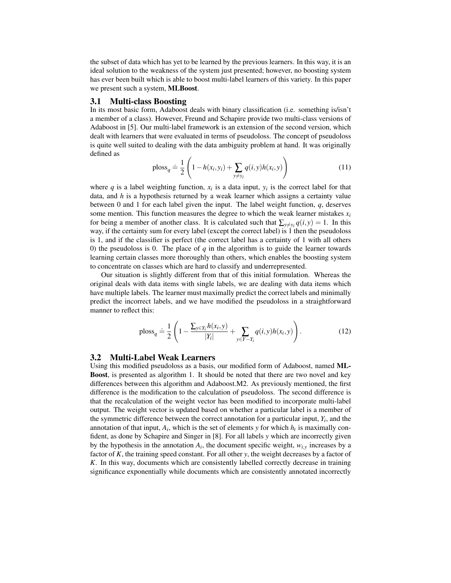the subset of data which has yet to be learned by the previous learners. In this way, it is an ideal solution to the weakness of the system just presented; however, no boosting system has ever been built which is able to boost multi-label learners of this variety. In this paper we present such a system, MLBoost.

#### 3.1 Multi-class Boosting

In its most basic form, Adaboost deals with binary classification (i.e. something is/isn't a member of a class). However, Freund and Schapire provide two multi-class versions of Adaboost in [5]. Our multi-label framework is an extension of the second version, which dealt with learners that were evaluated in terms of pseudoloss. The concept of pseudoloss is quite well suited to dealing with the data ambiguity problem at hand. It was originally defined as

ploss<sub>q</sub> 
$$
\doteq \frac{1}{2} \left( 1 - h(x_i, y_i) + \sum_{y \neq y_i} q(i, y) h(x_i, y) \right)
$$
 (11)

where  $q$  is a label weighting function,  $x_i$  is a data input,  $y_i$  is the correct label for that data, and *h* is a hypothesis returned by a weak learner which assigns a certainty value between 0 and 1 for each label given the input. The label weight function, *q*, deserves some mention. This function measures the degree to which the weak learner mistakes  $x_i$ for being a member of another class. It is calculated such that  $\sum_{y \neq y_i} q(i, y) = 1$ . In this way, if the certainty sum for every label (except the correct label) is 1 then the pseudoloss is 1, and if the classifier is perfect (the correct label has a certainty of 1 with all others 0) the pseudoloss is 0. The place of *q* in the algorithm is to guide the learner towards learning certain classes more thoroughly than others, which enables the boosting system to concentrate on classes which are hard to classify and underrepresented.

Our situation is slightly different from that of this initial formulation. Whereas the original deals with data items with single labels, we are dealing with data items which have multiple labels. The learner must maximally predict the correct labels and minimally predict the incorrect labels, and we have modified the pseudoloss in a straightforward manner to reflect this:

$$
\text{ploss}_q \doteq \frac{1}{2} \left( 1 - \frac{\sum_{y \in Y_i} h(x_i, y)}{|Y_i|} + \sum_{y \in Y - Y_i} q(i, y) h(x_i, y) \right). \tag{12}
$$

### 3.2 Multi-Label Weak Learners

Using this modified pseudoloss as a basis, our modified form of Adaboost, named ML-Boost, is presented as algorithm 1. It should be noted that there are two novel and key differences between this algorithm and Adaboost.M2. As previously mentioned, the first difference is the modification to the calculation of pseudoloss. The second difference is that the recalculation of the weight vector has been modified to incorporate multi-label output. The weight vector is updated based on whether a particular label is a member of the symmetric difference between the correct annotation for a particular input,  $Y_i$ , and the annotation of that input,  $A_i$ , which is the set of elements *y* for which  $h_i$  is maximally confident, as done by Schapire and Singer in [8]. For all labels *y* which are incorrectly given by the hypothesis in the annotation  $A_i$ , the document specific weight,  $w_{i,y}$  increases by a factor of *K*, the training speed constant. For all other *y*, the weight decreases by a factor of *K*. In this way, documents which are consistently labelled correctly decrease in training significance exponentially while documents which are consistently annotated incorrectly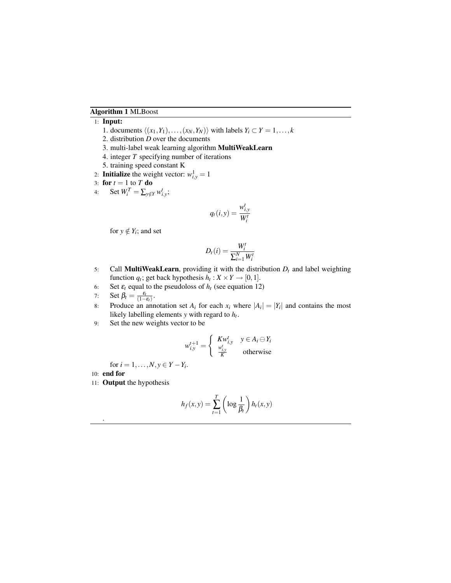## Algorithm 1 MLBoost

## 1: Input:

- 1. documents  $\langle (x_1, Y_1), \ldots, (x_N, Y_N) \rangle$  with labels  $Y_i \subset Y = 1, \ldots, k$
- 2. distribution *D* over the documents
- 3. multi-label weak learning algorithm MultiWeakLearn
- 4. integer *T* specifying number of iterations
- 5. training speed constant K
- 2: **Initialize** the weight vector:  $w_{i,y}^1 = 1$

$$
3: \textbf{ for } t = 1 \textbf{ to } T \textbf{ do}
$$

4: Set  $W_i^T = \sum_{y \notin Y} w_{i,y}^t$ ;

$$
q_t(i, y) = \frac{w_{i, y}^t}{W_i^t}
$$

for  $y \notin Y_i$ ; and set

$$
D_t(i) = \frac{W_i^t}{\sum_{i=1}^N W_i^t}
$$

- 5: Call **MultiWeakLearn**, providing it with the distribution  $D_t$  and label weighting function  $q_t$ ; get back hypothesis  $h_t: X \times Y \to [0,1]$ .
- 6: Set  $\varepsilon_t$  equal to the pseudoloss of  $h_t$  (see equation 12)
- 7: Set  $\beta_t = \frac{\varepsilon_t}{(1-\varepsilon_t)}$ .
- 8: Produce an annotation set  $A_i$  for each  $x_i$  where  $|A_i| = |Y_i|$  and contains the most likely labelling elements *y* with regard to *h<sup>t</sup>* .
- 9: Set the new weights vector to be

$$
w_{i,y}^{t+1} = \begin{cases} Kw_{i,y}^t & y \in A_i \ominus Y_i \\ \frac{w_{i,y}^t}{K} & \text{otherwise} \end{cases}
$$

for  $i = 1, ..., N, y \in Y - Y_i$ .

10: end for

.

11: Output the hypothesis

$$
h_f(x, y) = \sum_{t=1}^{T} \left( \log \frac{1}{\beta_t} \right) h_t(x, y)
$$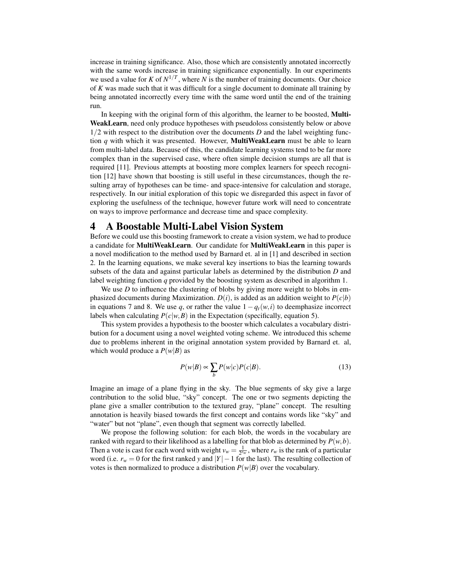increase in training significance. Also, those which are consistently annotated incorrectly with the same words increase in training significance exponentially. In our experiments we used a value for *K* of  $N^{1/T}$ , where *N* is the number of training documents. Our choice of *K* was made such that it was difficult for a single document to dominate all training by being annotated incorrectly every time with the same word until the end of the training run.

In keeping with the original form of this algorithm, the learner to be boosted, Multi-WeakLearn, need only produce hypotheses with pseudoloss consistently below or above 1/2 with respect to the distribution over the documents *D* and the label weighting function *q* with which it was presented. However, MultiWeakLearn must be able to learn from multi-label data. Because of this, the candidate learning systems tend to be far more complex than in the supervised case, where often simple decision stumps are all that is required [11]. Previous attempts at boosting more complex learners for speech recognition [12] have shown that boosting is still useful in these circumstances, though the resulting array of hypotheses can be time- and space-intensive for calculation and storage, respectively. In our initial exploration of this topic we disregarded this aspect in favor of exploring the usefulness of the technique, however future work will need to concentrate on ways to improve performance and decrease time and space complexity.

# 4 A Boostable Multi-Label Vision System

Before we could use this boosting framework to create a vision system, we had to produce a candidate for MultiWeakLearn. Our candidate for MultiWeakLearn in this paper is a novel modification to the method used by Barnard et. al in [1] and described in section 2. In the learning equations, we make several key insertions to bias the learning towards subsets of the data and against particular labels as determined by the distribution *D* and label weighting function *q* provided by the boosting system as described in algorithm 1.

We use *D* to influence the clustering of blobs by giving more weight to blobs in emphasized documents during Maximization.  $D(i)$ , is added as an addition weight to  $P(c|b)$ in equations 7 and 8. We use *q*, or rather the value  $1 - q_t(w, i)$  to deemphasize incorrect labels when calculating  $P(c|w, B)$  in the Expectation (specifically, equation 5).

This system provides a hypothesis to the booster which calculates a vocabulary distribution for a document using a novel weighted voting scheme. We introduced this scheme due to problems inherent in the original annotation system provided by Barnard et. al, which would produce a  $P(w|B)$  as

$$
P(w|B) \propto \sum_{b} P(w|c)P(c|B). \tag{13}
$$

Imagine an image of a plane flying in the sky. The blue segments of sky give a large contribution to the solid blue, "sky" concept. The one or two segments depicting the plane give a smaller contribution to the textured gray, "plane" concept. The resulting annotation is heavily biased towards the first concept and contains words like "sky" and "water" but not "plane", even though that segment was correctly labelled.

We propose the following solution: for each blob, the words in the vocabulary are ranked with regard to their likelihood as a labelling for that blob as determined by  $P(w, b)$ . Then a vote is cast for each word with weight  $v_w = \frac{1}{2^{r_w}}$ , where  $r_w$  is the rank of a particular word (i.e. *r<sup>w</sup>* = 0 for the first ranked *y* and |*Y*|−1 for the last). The resulting collection of votes is then normalized to produce a distribution  $P(w|B)$  over the vocabulary.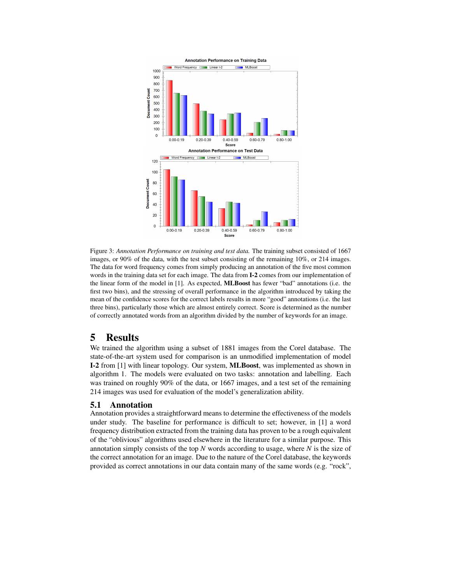

Figure 3: *Annotation Performance on training and test data.* The training subset consisted of 1667 images, or 90% of the data, with the test subset consisting of the remaining 10%, or 214 images. The data for word frequency comes from simply producing an annotation of the five most common words in the training data set for each image. The data from I-2 comes from our implementation of the linear form of the model in [1]. As expected, MLBoost has fewer "bad" annotations (i.e. the first two bins), and the stressing of overall performance in the algorithm introduced by taking the mean of the confidence scores for the correct labels results in more "good" annotations (i.e. the last three bins), particularly those which are almost entirely correct. Score is determined as the number of correctly annotated words from an algorithm divided by the number of keywords for an image.

# 5 Results

We trained the algorithm using a subset of 1881 images from the Corel database. The state-of-the-art system used for comparison is an unmodified implementation of model I-2 from [1] with linear topology. Our system, MLBoost, was implemented as shown in algorithm 1. The models were evaluated on two tasks: annotation and labelling. Each was trained on roughly 90% of the data, or 1667 images, and a test set of the remaining 214 images was used for evaluation of the model's generalization ability.

### 5.1 Annotation

Annotation provides a straightforward means to determine the effectiveness of the models under study. The baseline for performance is difficult to set; however, in [1] a word frequency distribution extracted from the training data has proven to be a rough equivalent of the "oblivious" algorithms used elsewhere in the literature for a similar purpose. This annotation simply consists of the top *N* words according to usage, where *N* is the size of the correct annotation for an image. Due to the nature of the Corel database, the keywords provided as correct annotations in our data contain many of the same words (e.g. "rock",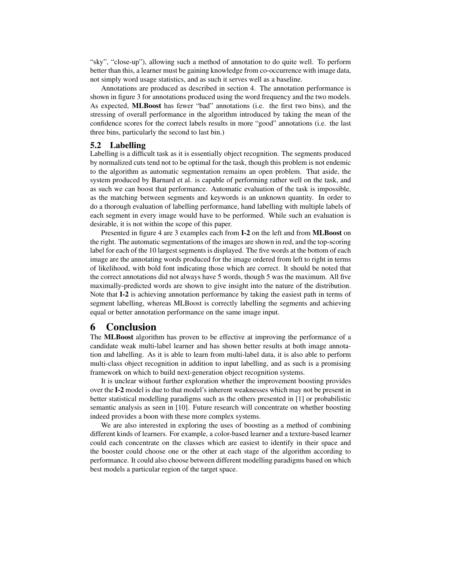"sky", "close-up"), allowing such a method of annotation to do quite well. To perform better than this, a learner must be gaining knowledge from co-occurrence with image data, not simply word usage statistics, and as such it serves well as a baseline.

Annotations are produced as described in section 4. The annotation performance is shown in figure 3 for annotations produced using the word frequency and the two models. As expected, MLBoost has fewer "bad" annotations (i.e. the first two bins), and the stressing of overall performance in the algorithm introduced by taking the mean of the confidence scores for the correct labels results in more "good" annotations (i.e. the last three bins, particularly the second to last bin.)

## 5.2 Labelling

Labelling is a difficult task as it is essentially object recognition. The segments produced by normalized cuts tend not to be optimal for the task, though this problem is not endemic to the algorithm as automatic segmentation remains an open problem. That aside, the system produced by Barnard et al. is capable of performing rather well on the task, and as such we can boost that performance. Automatic evaluation of the task is impossible, as the matching between segments and keywords is an unknown quantity. In order to do a thorough evaluation of labelling performance, hand labelling with multiple labels of each segment in every image would have to be performed. While such an evaluation is desirable, it is not within the scope of this paper.

Presented in figure 4 are 3 examples each from I-2 on the left and from MLBoost on the right. The automatic segmentations of the images are shown in red, and the top-scoring label for each of the 10 largest segments is displayed. The five words at the bottom of each image are the annotating words produced for the image ordered from left to right in terms of likelihood, with bold font indicating those which are correct. It should be noted that the correct annotations did not always have 5 words, though 5 was the maximum. All five maximally-predicted words are shown to give insight into the nature of the distribution. Note that **I-2** is achieving annotation performance by taking the easiest path in terms of segment labelling, whereas MLBoost is correctly labelling the segments and achieving equal or better annotation performance on the same image input.

# 6 Conclusion

The MLBoost algorithm has proven to be effective at improving the performance of a candidate weak multi-label learner and has shown better results at both image annotation and labelling. As it is able to learn from multi-label data, it is also able to perform multi-class object recognition in addition to input labelling, and as such is a promising framework on which to build next-generation object recognition systems.

It is unclear without further exploration whether the improvement boosting provides over the I-2 model is due to that model's inherent weaknesses which may not be present in better statistical modelling paradigms such as the others presented in [1] or probabilistic semantic analysis as seen in [10]. Future research will concentrate on whether boosting indeed provides a boon with these more complex systems.

We are also interested in exploring the uses of boosting as a method of combining different kinds of learners. For example, a color-based learner and a texture-based learner could each concentrate on the classes which are easiest to identify in their space and the booster could choose one or the other at each stage of the algorithm according to performance. It could also choose between different modelling paradigms based on which best models a particular region of the target space.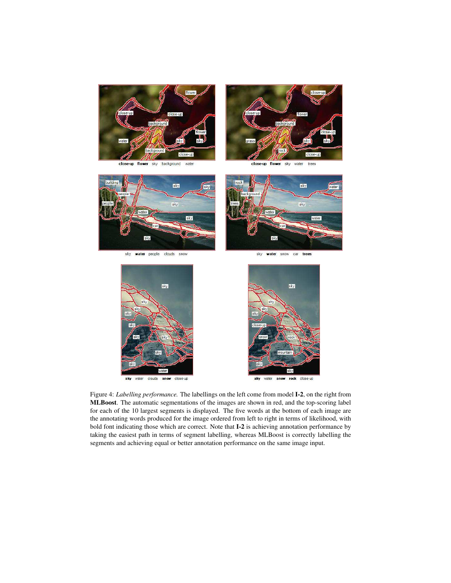

background clo sky water



clo: -up sky water trees



sky water people clouds snow



sky water snow car trees



sky water clouds snow close-up



sky water snow rock close-up

Figure 4: *Labelling performance.* The labellings on the left come from model I-2, on the right from MLBoost. The automatic segmentations of the images are shown in red, and the top-scoring label for each of the 10 largest segments is displayed. The five words at the bottom of each image are the annotating words produced for the image ordered from left to right in terms of likelihood, with bold font indicating those which are correct. Note that **I-2** is achieving annotation performance by taking the easiest path in terms of segment labelling, whereas MLBoost is correctly labelling the segments and achieving equal or better annotation performance on the same image input.